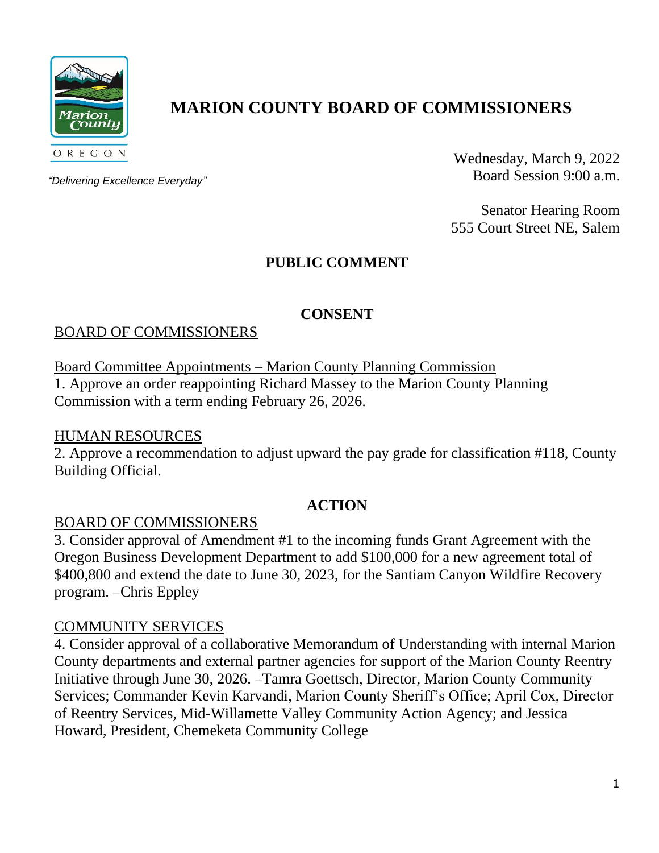

# **MARION COUNTY BOARD OF COMMISSIONERS**

*"Delivering Excellence Everyday"*

Wednesday, March 9, 2022 Board Session 9:00 a.m.

Senator Hearing Room 555 Court Street NE, Salem

# **PUBLIC COMMENT**

## **CONSENT**

## BOARD OF COMMISSIONERS

Board Committee Appointments – Marion County Planning Commission

1. Approve an order reappointing Richard Massey to the Marion County Planning Commission with a term ending February 26, 2026.

## HUMAN RESOURCES

2. Approve a recommendation to adjust upward the pay grade for classification #118, County Building Official.

## **ACTION**

## BOARD OF COMMISSIONERS

3. Consider approval of Amendment #1 to the incoming funds Grant Agreement with the Oregon Business Development Department to add \$100,000 for a new agreement total of \$400,800 and extend the date to June 30, 2023, for the Santiam Canyon Wildfire Recovery program. –Chris Eppley

## COMMUNITY SERVICES

4. Consider approval of a collaborative Memorandum of Understanding with internal Marion County departments and external partner agencies for support of the Marion County Reentry Initiative through June 30, 2026. –Tamra Goettsch, Director, Marion County Community Services; Commander Kevin Karvandi, Marion County Sheriff's Office; April Cox, Director of Reentry Services, Mid-Willamette Valley Community Action Agency; and Jessica Howard, President, Chemeketa Community College